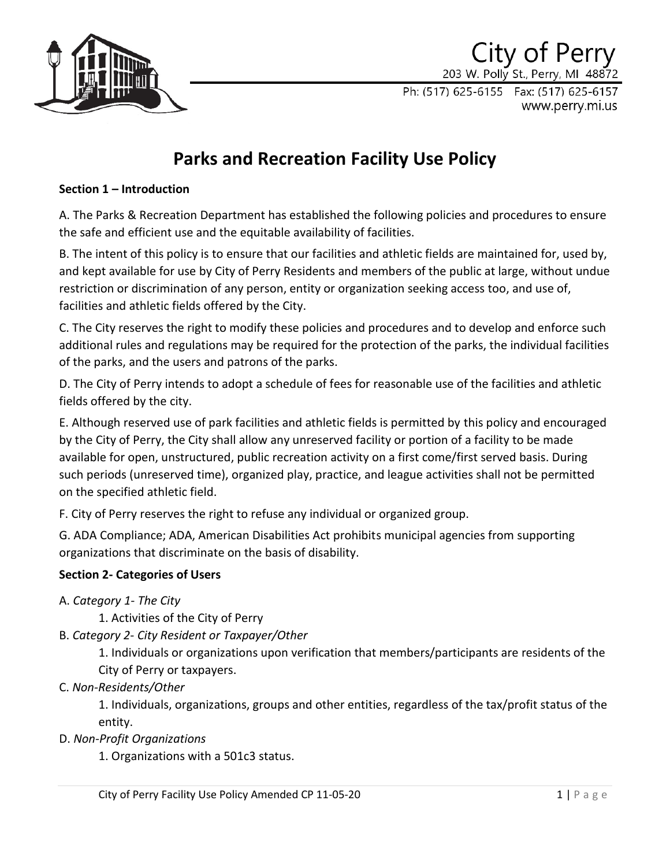

## City of Perry 203 W. Polly St., Perry, MI 48872

Ph: (517) 625-6155 Fax: (517) 625-6157 www.perry.mi.us

# **Parks and Recreation Facility Use Policy**

## **Section 1 – Introduction**

A. The Parks & Recreation Department has established the following policies and procedures to ensure the safe and efficient use and the equitable availability of facilities.

B. The intent of this policy is to ensure that our facilities and athletic fields are maintained for, used by, and kept available for use by City of Perry Residents and members of the public at large, without undue restriction or discrimination of any person, entity or organization seeking access too, and use of, facilities and athletic fields offered by the City.

C. The City reserves the right to modify these policies and procedures and to develop and enforce such additional rules and regulations may be required for the protection of the parks, the individual facilities of the parks, and the users and patrons of the parks.

D. The City of Perry intends to adopt a schedule of fees for reasonable use of the facilities and athletic fields offered by the city.

E. Although reserved use of park facilities and athletic fields is permitted by this policy and encouraged by the City of Perry, the City shall allow any unreserved facility or portion of a facility to be made available for open, unstructured, public recreation activity on a first come/first served basis. During such periods (unreserved time), organized play, practice, and league activities shall not be permitted on the specified athletic field.

F. City of Perry reserves the right to refuse any individual or organized group.

G. ADA Compliance; ADA, American Disabilities Act prohibits municipal agencies from supporting organizations that discriminate on the basis of disability.

## **Section 2- Categories of Users**

- A. *Category 1- The City* 
	- 1. Activities of the City of Perry
- B. *Category 2- City Resident or Taxpayer/Other*

1. Individuals or organizations upon verification that members/participants are residents of the City of Perry or taxpayers.

C. *Non-Residents/Other*

1. Individuals, organizations, groups and other entities, regardless of the tax/profit status of the entity.

D. *Non-Profit Organizations*

1. Organizations with a 501c3 status.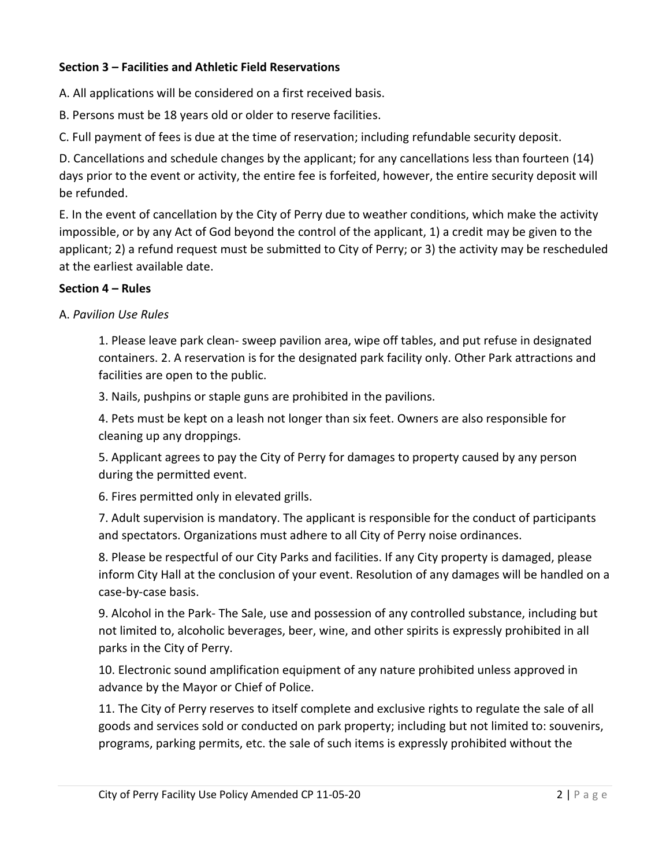## **Section 3 – Facilities and Athletic Field Reservations**

A. All applications will be considered on a first received basis.

B. Persons must be 18 years old or older to reserve facilities.

C. Full payment of fees is due at the time of reservation; including refundable security deposit.

D. Cancellations and schedule changes by the applicant; for any cancellations less than fourteen (14) days prior to the event or activity, the entire fee is forfeited, however, the entire security deposit will be refunded.

E. In the event of cancellation by the City of Perry due to weather conditions, which make the activity impossible, or by any Act of God beyond the control of the applicant, 1) a credit may be given to the applicant; 2) a refund request must be submitted to City of Perry; or 3) the activity may be rescheduled at the earliest available date.

## **Section 4 – Rules**

A. *Pavilion Use Rules*

1. Please leave park clean- sweep pavilion area, wipe off tables, and put refuse in designated containers. 2. A reservation is for the designated park facility only. Other Park attractions and facilities are open to the public.

3. Nails, pushpins or staple guns are prohibited in the pavilions.

4. Pets must be kept on a leash not longer than six feet. Owners are also responsible for cleaning up any droppings.

5. Applicant agrees to pay the City of Perry for damages to property caused by any person during the permitted event.

6. Fires permitted only in elevated grills.

7. Adult supervision is mandatory. The applicant is responsible for the conduct of participants and spectators. Organizations must adhere to all City of Perry noise ordinances.

8. Please be respectful of our City Parks and facilities. If any City property is damaged, please inform City Hall at the conclusion of your event. Resolution of any damages will be handled on a case-by-case basis.

9. Alcohol in the Park- The Sale, use and possession of any controlled substance, including but not limited to, alcoholic beverages, beer, wine, and other spirits is expressly prohibited in all parks in the City of Perry.

10. Electronic sound amplification equipment of any nature prohibited unless approved in advance by the Mayor or Chief of Police.

11. The City of Perry reserves to itself complete and exclusive rights to regulate the sale of all goods and services sold or conducted on park property; including but not limited to: souvenirs, programs, parking permits, etc. the sale of such items is expressly prohibited without the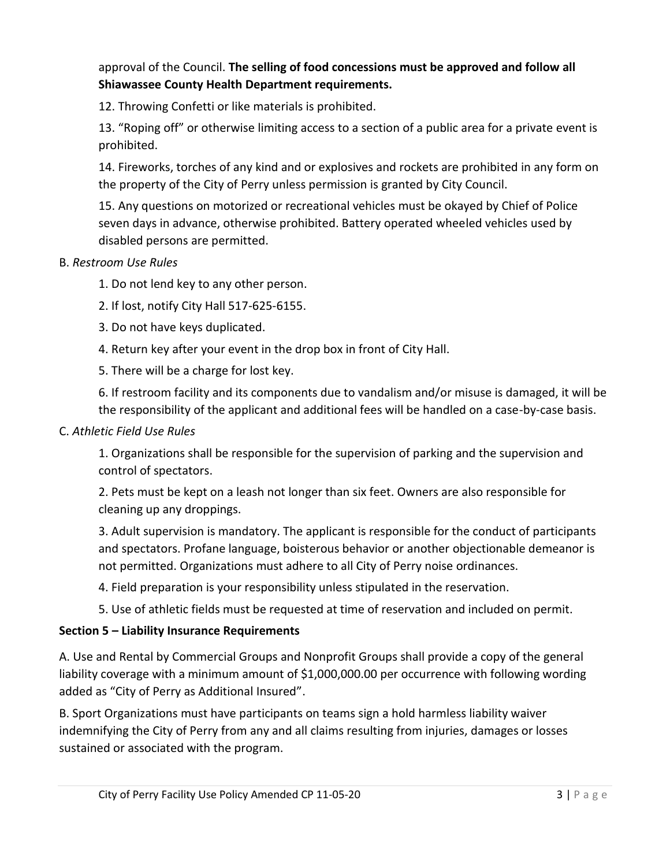approval of the Council. **The selling of food concessions must be approved and follow all Shiawassee County Health Department requirements.**

12. Throwing Confetti or like materials is prohibited.

13. "Roping off" or otherwise limiting access to a section of a public area for a private event is prohibited.

14. Fireworks, torches of any kind and or explosives and rockets are prohibited in any form on the property of the City of Perry unless permission is granted by City Council.

15. Any questions on motorized or recreational vehicles must be okayed by Chief of Police seven days in advance, otherwise prohibited. Battery operated wheeled vehicles used by disabled persons are permitted.

## B. *Restroom Use Rules*

1. Do not lend key to any other person.

- 2. If lost, notify City Hall 517-625-6155.
- 3. Do not have keys duplicated.
- 4. Return key after your event in the drop box in front of City Hall.
- 5. There will be a charge for lost key.

6. If restroom facility and its components due to vandalism and/or misuse is damaged, it will be the responsibility of the applicant and additional fees will be handled on a case-by-case basis.

#### C. *Athletic Field Use Rules*

1. Organizations shall be responsible for the supervision of parking and the supervision and control of spectators.

2. Pets must be kept on a leash not longer than six feet. Owners are also responsible for cleaning up any droppings.

3. Adult supervision is mandatory. The applicant is responsible for the conduct of participants and spectators. Profane language, boisterous behavior or another objectionable demeanor is not permitted. Organizations must adhere to all City of Perry noise ordinances.

- 4. Field preparation is your responsibility unless stipulated in the reservation.
- 5. Use of athletic fields must be requested at time of reservation and included on permit.

## **Section 5 – Liability Insurance Requirements**

A. Use and Rental by Commercial Groups and Nonprofit Groups shall provide a copy of the general liability coverage with a minimum amount of \$1,000,000.00 per occurrence with following wording added as "City of Perry as Additional Insured".

B. Sport Organizations must have participants on teams sign a hold harmless liability waiver indemnifying the City of Perry from any and all claims resulting from injuries, damages or losses sustained or associated with the program.